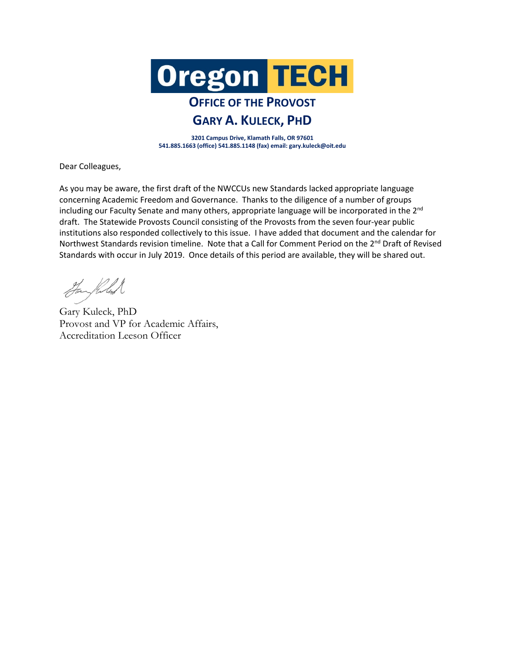

## **OFFICE OF THE PROVOST GARY A. KULECK, PHD**

**3201 Campus Drive, Klamath Falls, OR 97601 541.885.1663 (office) 541.885.1148 (fax) email: gary.kuleck@oit.edu**

Dear Colleagues,

As you may be aware, the first draft of the NWCCUs new Standards lacked appropriate language concerning Academic Freedom and Governance. Thanks to the diligence of a number of groups including our Faculty Senate and many others, appropriate language will be incorporated in the 2<sup>nd</sup> draft. The Statewide Provosts Council consisting of the Provosts from the seven four-year public institutions also responded collectively to this issue. I have added that document and the calendar for Northwest Standards revision timeline. Note that a Call for Comment Period on the 2<sup>nd</sup> Draft of Revised Standards with occur in July 2019. Once details of this period are available, they will be shared out.

Hanghlus

Gary Kuleck, PhD Provost and VP for Academic Affairs, Accreditation Leeson Officer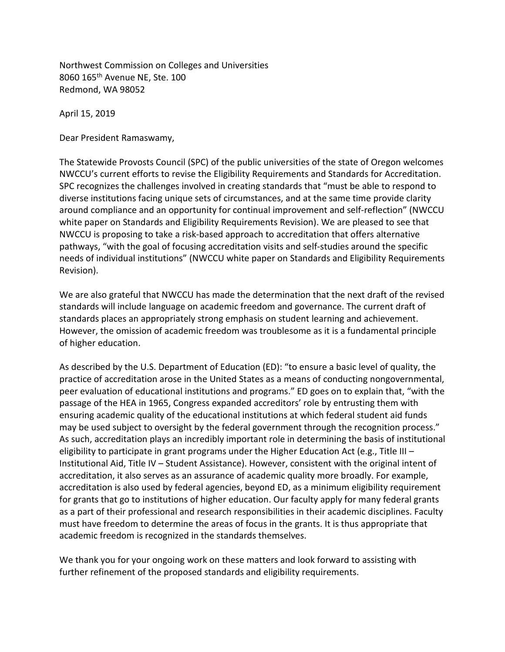Northwest Commission on Colleges and Universities 8060 165th Avenue NE, Ste. 100 Redmond, WA 98052

April 15, 2019

Dear President Ramaswamy,

The Statewide Provosts Council (SPC) of the public universities of the state of Oregon welcomes NWCCU's current efforts to revise the Eligibility Requirements and Standards for Accreditation. SPC recognizes the challenges involved in creating standards that "must be able to respond to diverse institutions facing unique sets of circumstances, and at the same time provide clarity around compliance and an opportunity for continual improvement and self-reflection" (NWCCU white paper on Standards and Eligibility Requirements Revision). We are pleased to see that NWCCU is proposing to take a risk-based approach to accreditation that offers alternative pathways, "with the goal of focusing accreditation visits and self-studies around the specific needs of individual institutions" (NWCCU white paper on Standards and Eligibility Requirements Revision).

We are also grateful that NWCCU has made the determination that the next draft of the revised standards will include language on academic freedom and governance. The current draft of standards places an appropriately strong emphasis on student learning and achievement. However, the omission of academic freedom was troublesome as it is a fundamental principle of higher education.

As described by the U.S. Department of Education (ED): "to ensure a basic level of quality, the practice of accreditation arose in the United States as a means of conducting nongovernmental, peer evaluation of educational institutions and programs." ED goes on to explain that, "with the passage of the HEA in 1965, Congress expanded accreditors' role by entrusting them with ensuring academic quality of the educational institutions at which federal student aid funds may be used subject to oversight by the federal government through the recognition process." As such, accreditation plays an incredibly important role in determining the basis of institutional eligibility to participate in grant programs under the Higher Education Act (e.g., Title III – Institutional Aid, Title IV – Student Assistance). However, consistent with the original intent of accreditation, it also serves as an assurance of academic quality more broadly. For example, accreditation is also used by federal agencies, beyond ED, as a minimum eligibility requirement for grants that go to institutions of higher education. Our faculty apply for many federal grants as a part of their professional and research responsibilities in their academic disciplines. Faculty must have freedom to determine the areas of focus in the grants. It is thus appropriate that academic freedom is recognized in the standards themselves.

We thank you for your ongoing work on these matters and look forward to assisting with further refinement of the proposed standards and eligibility requirements.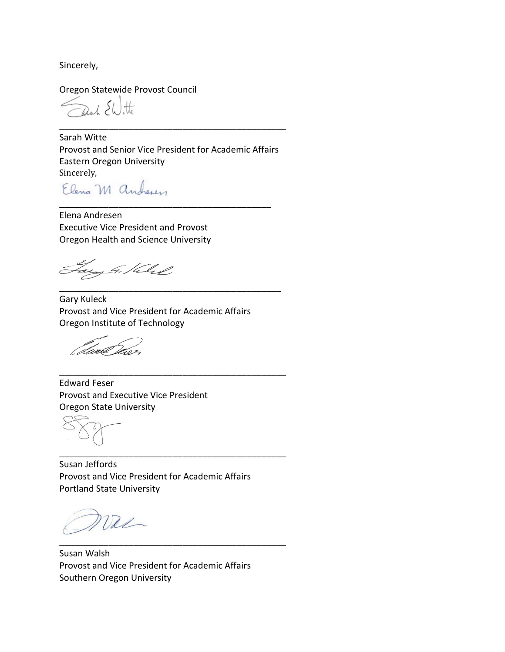Sincerely,

Oregon Statewide Provost Council

anh EWitte

Sarah Witte Provost and Senior Vice President for Academic Affairs Eastern Oregon University

\_\_\_\_\_\_\_\_\_\_\_\_\_\_\_\_\_\_\_\_\_\_\_\_\_\_\_\_\_\_\_\_\_\_\_\_\_\_\_\_\_\_\_\_\_\_

Sincerely,<br>Elena M anchesen

\_\_\_\_\_\_\_\_\_\_\_\_\_\_\_\_\_\_\_\_\_\_\_\_\_\_\_\_\_\_\_\_\_\_\_\_\_\_\_\_\_\_\_ Elena Andresen Executive Vice President and Provost Oregon Health and Science University

ang G. Keled

Gary Kuleck Provost and Vice President for Academic Affairs Oregon Institute of Technology

\_\_\_\_\_\_\_\_\_\_\_\_\_\_\_\_\_\_\_\_\_\_\_\_\_\_\_\_\_\_\_\_\_\_\_\_\_\_\_\_\_\_\_\_\_

\_\_\_\_\_\_\_\_\_\_\_\_\_\_\_\_\_\_\_\_\_\_\_\_\_\_\_\_\_\_\_\_\_\_\_\_\_\_\_\_\_\_\_\_\_\_

\_\_\_\_\_\_\_\_\_\_\_\_\_\_\_\_\_\_\_\_\_\_\_\_\_\_\_\_\_\_\_\_\_\_\_\_\_\_\_\_\_\_\_\_\_\_

\_\_\_\_\_\_\_\_\_\_\_\_\_\_\_\_\_\_\_\_\_\_\_\_\_\_\_\_\_\_\_\_\_\_\_\_\_\_\_\_\_\_\_\_\_\_

dwal

Edward Feser Provost and Executive Vice President Oregon State University

Susan Jeffords Provost and Vice President for Academic Affairs Portland State University

val

Susan Walsh Provost and Vice President for Academic Affairs Southern Oregon University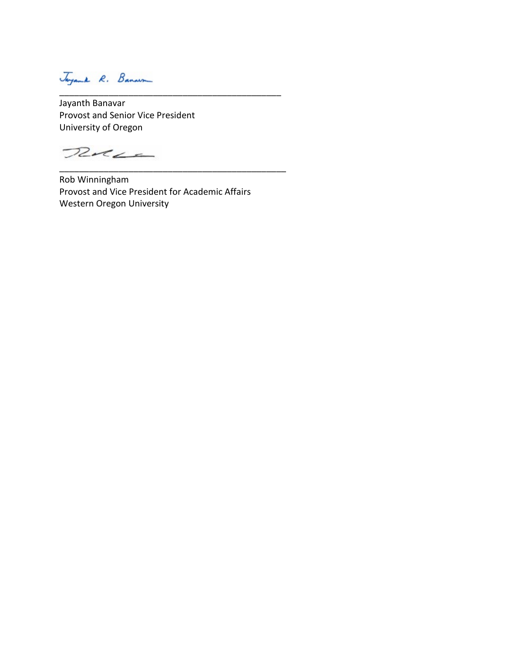Jayanth Banavar Provost and Senior Vice President University of Oregon

Rue

Rob Winningham Provost and Vice President for Academic Affairs Western Oregon University

\_\_\_\_\_\_\_\_\_\_\_\_\_\_\_\_\_\_\_\_\_\_\_\_\_\_\_\_\_\_\_\_\_\_\_\_\_\_\_\_\_\_\_\_\_

\_\_\_\_\_\_\_\_\_\_\_\_\_\_\_\_\_\_\_\_\_\_\_\_\_\_\_\_\_\_\_\_\_\_\_\_\_\_\_\_\_\_\_\_\_\_